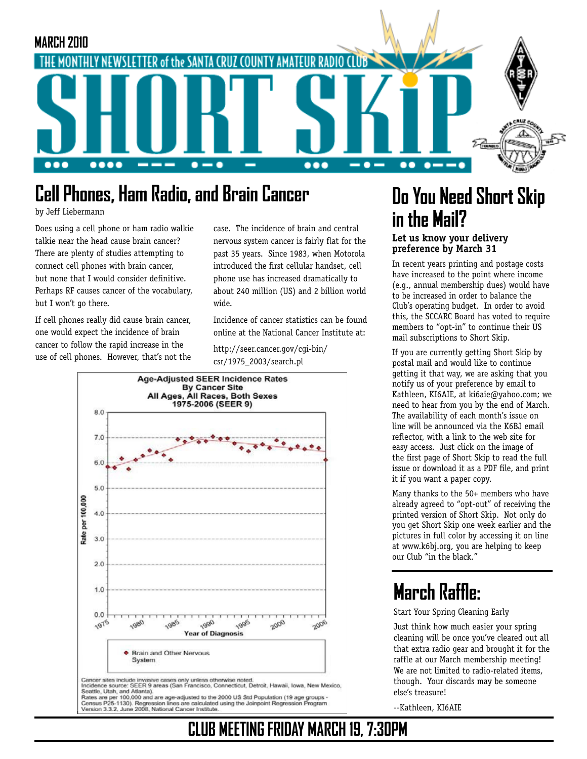

#### **Cell Phones, Ham Radio, and Brain Cancer Do You Need Short Skip**

by Jeff Liebermann

Does using a cell phone or ham radio walkie talkie near the head cause brain cancer? There are plenty of studies attempting to connect cell phones with brain cancer, but none that I would consider definitive. Perhaps RF causes cancer of the vocabulary, but I won't go there.

If cell phones really did cause brain cancer, one would expect the incidence of brain cancer to follow the rapid increase in the use of cell phones. However, that's not the case. The incidence of brain and central nervous system cancer is fairly flat for the past 35 years. Since 1983, when Motorola introduced the first cellular handset, cell phone use has increased dramatically to about 240 million (US) and 2 billion world wide.

Incidence of cancer statistics can be found online at the National Cancer Institute at:

**CLUB MEETING FRIDAY MARCH 19, 7:30PM**

http://seer.cancer.gov/cgi-bin/ csr/1975\_2003/search.pl



Seates are per stor Assessed are age-adjusted to the 2000 US Std Population (19 age groups -<br>Census P25-1130). Regnession lines are calculated using the Joinpoint Regression Program<br>Version 3.3.2, June 2008, National Cance

# **in the Mail?**

#### **Let us know your delivery preference by March 31**

In recent years printing and postage costs have increased to the point where income (e.g., annual membership dues) would have to be increased in order to balance the Club's operating budget. In order to avoid this, the SCCARC Board has voted to require members to "opt-in" to continue their US mail subscriptions to Short Skip.

If you are currently getting Short Skip by postal mail and would like to continue getting it that way, we are asking that you notify us of your preference by email to Kathleen, KI6AIE, at ki6aie@yahoo.com; we need to hear from you by the end of March. The availability of each month's issue on line will be announced via the K6BJ email reflector, with a link to the web site for easy access. Just click on the image of the first page of Short Skip to read the full issue or download it as a PDF file, and print it if you want a paper copy.

Many thanks to the 50+ members who have already agreed to "opt-out" of receiving the printed version of Short Skip. Not only do you get Short Skip one week earlier and the pictures in full color by accessing it on line at www.k6bj.org, you are helping to keep our Club "in the black."

### **March Raffle:**

Start Your Spring Cleaning Early

Just think how much easier your spring cleaning will be once you've cleared out all that extra radio gear and brought it for the raffle at our March membership meeting! We are not limited to radio-related items, though. Your discards may be someone else's treasure!

--Kathleen, KI6AIE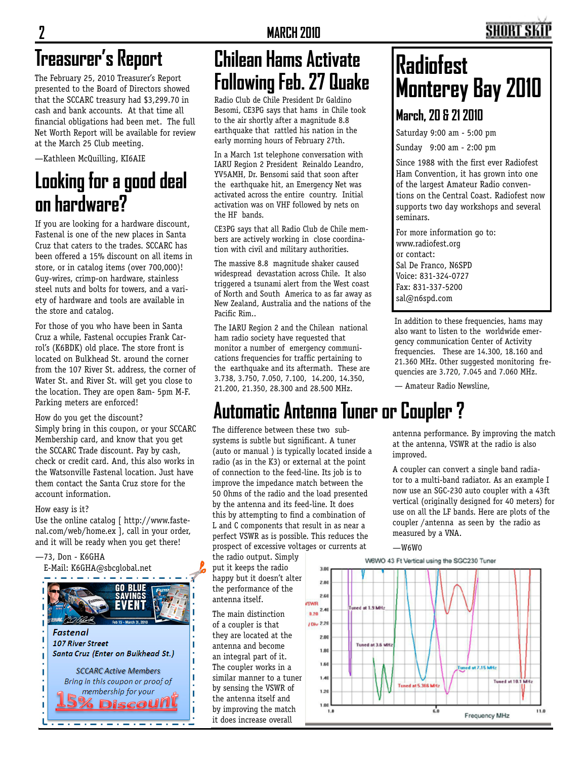# **Treasurer's Report**

The February 25, 2010 Treasurer's Report presented to the Board of Directors showed that the SCCARC treasury had \$3,299.70 in cash and bank accounts. At that time all financial obligations had been met. The full Net Worth Report will be available for review at the March 25 Club meeting.

—Kathleen McQuilling, KI6AIE

### **Looking for a good deal on hardware?**

If you are looking for a hardware discount, Fastenal is one of the new places in Santa Cruz that caters to the trades. SCCARC has been offered a 15% discount on all items in store, or in catalog items (over 700,000)! Guy-wires, crimp-on hardware, stainless steel nuts and bolts for towers, and a variety of hardware and tools are available in the store and catalog.

For those of you who have been in Santa Cruz a while, Fastenal occupies Frank Carrol's (K6BDK) old place. The store front is located on Bulkhead St. around the corner from the 107 River St. address, the corner of Water St. and River St. will get you close to the location. They are open 8am- 5pm M-F. Parking meters are enforced!

How do you get the discount?

Simply bring in this coupon, or your SCCARC Membership card, and know that you get the SCCARC Trade discount. Pay by cash, check or credit card. And, this also works in the Watsonville Fastenal location. Just have them contact the Santa Cruz store for the account information.

#### How easy is it?

Use the online catalog [ http://www.fastenal.com/web/home.ex ], call in your order, and it will be ready when you get there!

—73, Don - K6GHA E-Mail: K6GHA@sbcglobal.net



### **Chilean Hams Activate Following Feb. 27 Quake**

Radio Club de Chile President Dr Galdino Besomi, CE3PG says that hams in Chile took to the air shortly after a magnitude 8.8 earthquake that rattled his nation in the early morning hours of February 27th.

In a March 1st telephone conversation with IARU Region 2 President Reinaldo Leandro, YV5AMH, Dr. Bensomi said that soon after the earthquake hit, an Emergency Net was activated across the entire country. Initial activation was on VHF followed by nets on the HF bands.

CE3PG says that all Radio Club de Chile members are actively working in close coordination with civil and military authorities.

The massive 8.8 magnitude shaker caused widespread devastation across Chile. It also triggered a tsunami alert from the West coast of North and South America to as far away as New Zealand, Australia and the nations of the Pacific Rim..

The IARU Region 2 and the Chilean national ham radio society have requested that monitor a number of emergency communications frequencies for traffic pertaining to the earthquake and its aftermath. These are 3.738, 3.750, 7.050, 7.100, 14.200, 14.350, 21.200, 21.350, 28.300 and 28.500 MHz.

# **Radiofest Monterey Bay 2010**

#### **March, 20 & 21 2010**

Saturday 9:00 am - 5:00 pm

Sunday 9:00 am - 2:00 pm

Since 1988 with the first ever Radiofest Ham Convention, it has grown into one of the largest Amateur Radio conventions on the Central Coast. Radiofest now supports two day workshops and several seminars.

For more information go to: www.radiofest.org or contact: Sal De Franco, N6SPD Voice: 831-324-0727 Fax: 831-337-5200 sal@n6spd.com

In addition to these frequencies, hams may also want to listen to the worldwide emergency communication Center of Activity frequencies. These are 14.300, 18.160 and 21.360 MHz. Other suggested monitoring frequencies are 3.720, 7.045 and 7.060 MHz.

— Amateur Radio Newsline,

# **Automatic Antenna Tuner or Coupler ?**

The difference between these two subsystems is subtle but significant. A tuner (auto or manual ) is typically located inside a radio (as in the K3) or external at the point of connection to the feed-line. Its job is to improve the impedance match between the 50 Ohms of the radio and the load presented by the antenna and its feed-line. It does this by attempting to find a combination of L and C components that result in as near a perfect VSWR as is possible. This reduces the prospect of excessive voltages or currents at

the radio output. Simply put it keeps the radio happy but it doesn't alter the performance of the antenna itself.

The main distinction of a coupler is that they are located at the antenna and become an integral part of it. The coupler works in a similar manner to a tuner by sensing the VSWR of the antenna itself and by improving the match it does increase overall

antenna performance. By improving the match at the antenna, VSWR at the radio is also improved.

A coupler can convert a single band radiator to a multi-band radiator. As an example I now use an SGC-230 auto coupler with a 43ft vertical (originally designed for 40 meters) for use on all the LF bands. Here are plots of the coupler /antenna as seen by the radio as measured by a VNA.

#### $-W6WO$

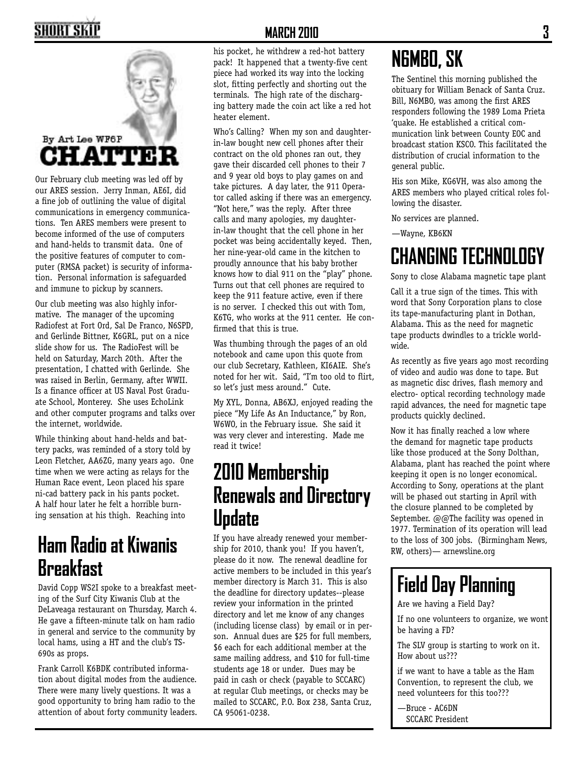# SHORT SKII



Our February club meeting was led off by our ARES session. Jerry Inman, AE6I, did a fine job of outlining the value of digital communications in emergency communications. Ten ARES members were present to become informed of the use of computers and hand-helds to transmit data. One of the positive features of computer to computer (RMSA packet) is security of information. Personal information is safeguarded and immune to pickup by scanners.

Our club meeting was also highly informative. The manager of the upcoming Radiofest at Fort Ord, Sal De Franco, N6SPD, and Gerlinde Bittner, K6GRL, put on a nice slide show for us. The RadioFest will be held on Saturday, March 20th. After the presentation, I chatted with Gerlinde. She was raised in Berlin, Germany, after WWII. Is a finance officer at US Naval Post Graduate School, Monterey. She uses EchoLink and other computer programs and talks over the internet, worldwide.

While thinking about hand-helds and battery packs, was reminded of a story told by Leon Fletcher, AA6ZG, many years ago. One time when we were acting as relays for the Human Race event, Leon placed his spare ni-cad battery pack in his pants pocket. A half hour later he felt a horrible burning sensation at his thigh. Reaching into

#### **Ham Radio at Kiwanis Breakfast**

David Copp WS2I spoke to a breakfast meeting of the Surf City Kiwanis Club at the DeLaveaga restaurant on Thursday, March 4. He gave a fifteen-minute talk on ham radio in general and service to the community by local hams, using a HT and the club's TS-690s as props.

Frank Carroll K6BDK contributed information about digital modes from the audience. There were many lively questions. It was a good opportunity to bring ham radio to the attention of about forty community leaders.

#### **MARCH 2010 3**

his pocket, he withdrew a red-hot battery pack! It happened that a twenty-five cent piece had worked its way into the locking slot, fitting perfectly and shorting out the terminals. The high rate of the discharging battery made the coin act like a red hot heater element.

Who's Calling? When my son and daughterin-law bought new cell phones after their contract on the old phones ran out, they gave their discarded cell phones to their 7 and 9 year old boys to play games on and take pictures. A day later, the 911 Operator called asking if there was an emergency. "Not here," was the reply. After three calls and many apologies, my daughterin-law thought that the cell phone in her pocket was being accidentally keyed. Then, her nine-year-old came in the kitchen to proudly announce that his baby brother knows how to dial 911 on the "play" phone. Turns out that cell phones are required to keep the 911 feature active, even if there is no server. I checked this out with Tom, K6TG, who works at the 911 center. He confirmed that this is true.

Was thumbing through the pages of an old notebook and came upon this quote from our club Secretary, Kathleen, KI6AIE. She's noted for her wit. Said, "I'm too old to flirt, so let's just mess around." Cute.

My XYL, Donna, AB6XJ, enjoyed reading the piece "My Life As An Inductance," by Ron, W6WO, in the February issue. She said it was very clever and interesting. Made me read it twice!

#### **2010 Membership Renewals and Directory Update**

If you have already renewed your membership for 2010, thank you! If you haven't, please do it now. The renewal deadline for active members to be included in this year's member directory is March 31. This is also the deadline for directory updates--please review your information in the printed directory and let me know of any changes (including license class) by email or in person. Annual dues are \$25 for full members, \$6 each for each additional member at the same mailing address, and \$10 for full-time students age 18 or under. Dues may be paid in cash or check (payable to SCCARC) at regular Club meetings, or checks may be mailed to SCCARC, P.O. Box 238, Santa Cruz, CA 95061-0238.

### **N6MBO, SK**

The Sentinel this morning published the obituary for William Benack of Santa Cruz. Bill, N6MBO, was among the first ARES responders following the 1989 Loma Prieta 'quake. He established a critical communication link between County EOC and broadcast station KSCO. This facilitated the distribution of crucial information to the general public.

His son Mike, KG6VH, was also among the ARES members who played critical roles following the disaster.

No services are planned.

—Wayne, KB6KN

## **CHANGING TECHNOLOGY**

Sony to close Alabama magnetic tape plant

Call it a true sign of the times. This with word that Sony Corporation plans to close its tape-manufacturing plant in Dothan, Alabama. This as the need for magnetic tape products dwindles to a trickle worldwide.

As recently as five years ago most recording of video and audio was done to tape. But as magnetic disc drives, flash memory and electro- optical recording technology made rapid advances, the need for magnetic tape products quickly declined.

Now it has finally reached a low where the demand for magnetic tape products like those produced at the Sony Dolthan, Alabama, plant has reached the point where keeping it open is no longer economical. According to Sony, operations at the plant will be phased out starting in April with the closure planned to be completed by September.  $\omega$   $\omega$ The facility was opened in 1977. Termination of its operation will lead to the loss of 300 jobs. (Birmingham News, RW, others)— arnewsline.org

# **Field Day Planning**

Are we having a Field Day?

If no one volunteers to organize, we wont be having a FD?

The SLV group is starting to work on it. How about us???

if we want to have a table as the Ham Convention, to represent the club, we need volunteers for this too???

—Bruce - AC6DN SCCARC President